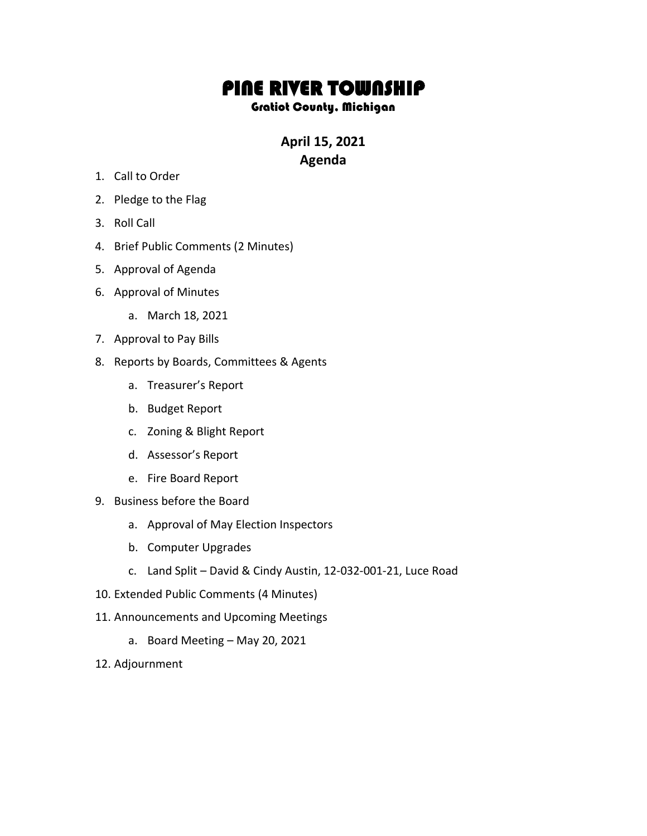## PINE RIVER TOWNSHIP

## Gratiot County, Michigan

**April 15, 2021 Agenda**

- 1. Call to Order
- 2. Pledge to the Flag
- 3. Roll Call
- 4. Brief Public Comments (2 Minutes)
- 5. Approval of Agenda
- 6. Approval of Minutes
	- a. March 18, 2021
- 7. Approval to Pay Bills
- 8. Reports by Boards, Committees & Agents
	- a. Treasurer's Report
	- b. Budget Report
	- c. Zoning & Blight Report
	- d. Assessor's Report
	- e. Fire Board Report
- 9. Business before the Board
	- a. Approval of May Election Inspectors
	- b. Computer Upgrades
	- c. Land Split David & Cindy Austin, 12-032-001-21, Luce Road
- 10. Extended Public Comments (4 Minutes)
- 11. Announcements and Upcoming Meetings
	- a. Board Meeting May 20, 2021
- 12. Adjournment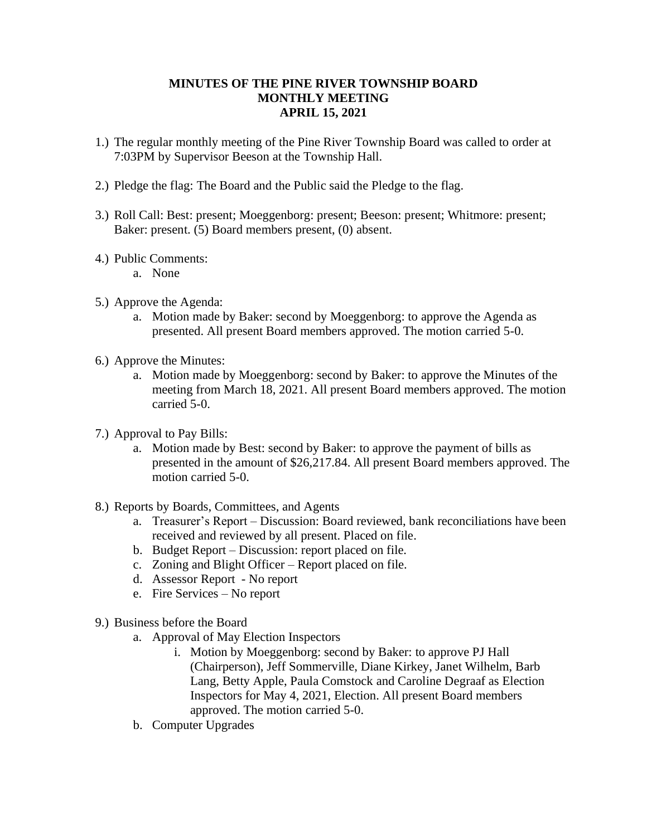## **MINUTES OF THE PINE RIVER TOWNSHIP BOARD MONTHLY MEETING APRIL 15, 2021**

- 1.) The regular monthly meeting of the Pine River Township Board was called to order at 7:03PM by Supervisor Beeson at the Township Hall.
- 2.) Pledge the flag: The Board and the Public said the Pledge to the flag.
- 3.) Roll Call: Best: present; Moeggenborg: present; Beeson: present; Whitmore: present; Baker: present. (5) Board members present, (0) absent.
- 4.) Public Comments:
	- a. None
- 5.) Approve the Agenda:
	- a. Motion made by Baker: second by Moeggenborg: to approve the Agenda as presented. All present Board members approved. The motion carried 5-0.
- 6.) Approve the Minutes:
	- a. Motion made by Moeggenborg: second by Baker: to approve the Minutes of the meeting from March 18, 2021. All present Board members approved. The motion carried 5-0.
- 7.) Approval to Pay Bills:
	- a. Motion made by Best: second by Baker: to approve the payment of bills as presented in the amount of \$26,217.84. All present Board members approved. The motion carried 5-0.
- 8.) Reports by Boards, Committees, and Agents
	- a. Treasurer's Report Discussion: Board reviewed, bank reconciliations have been received and reviewed by all present. Placed on file.
	- b. Budget Report Discussion: report placed on file.
	- c. Zoning and Blight Officer Report placed on file.
	- d. Assessor Report No report
	- e. Fire Services No report
- 9.) Business before the Board
	- a. Approval of May Election Inspectors
		- i. Motion by Moeggenborg: second by Baker: to approve PJ Hall (Chairperson), Jeff Sommerville, Diane Kirkey, Janet Wilhelm, Barb Lang, Betty Apple, Paula Comstock and Caroline Degraaf as Election Inspectors for May 4, 2021, Election. All present Board members approved. The motion carried 5-0.
	- b. Computer Upgrades